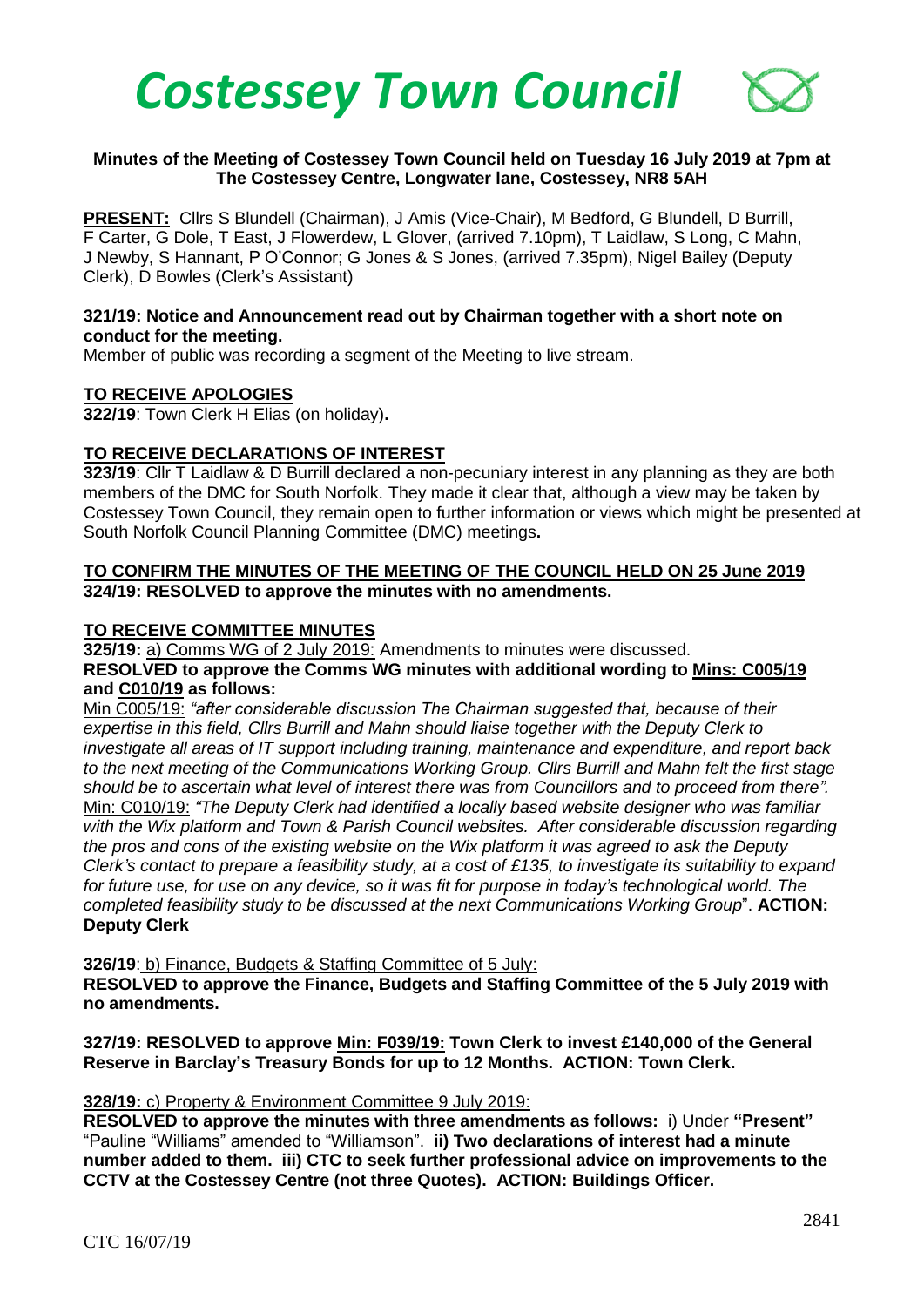

### **Minutes of the Meeting of Costessey Town Council held on Tuesday 16 July 2019 at 7pm at The Costessey Centre, Longwater lane, Costessey, NR8 5AH**

PRESENT: Cllrs S Blundell (Chairman), J Amis (Vice-Chair), M Bedford, G Blundell. D Burrill. F Carter, G Dole, T East, J Flowerdew, L Glover, (arrived 7.10pm), T Laidlaw, S Long, C Mahn, J Newby, S Hannant, P O'Connor; G Jones & S Jones, (arrived 7.35pm), Nigel Bailey (Deputy Clerk), D Bowles (Clerk's Assistant)

### **321/19: Notice and Announcement read out by Chairman together with a short note on conduct for the meeting.**

Member of public was recording a segment of the Meeting to live stream.

### **TO RECEIVE APOLOGIES**

**322/19**: Town Clerk H Elias (on holiday)**.**

### **TO RECEIVE DECLARATIONS OF INTEREST**

**323/19**: Cllr T Laidlaw & D Burrill declared a non-pecuniary interest in any planning as they are both members of the DMC for South Norfolk. They made it clear that, although a view may be taken by Costessey Town Council, they remain open to further information or views which might be presented at South Norfolk Council Planning Committee (DMC) meetings**.**

### **TO CONFIRM THE MINUTES OF THE MEETING OF THE COUNCIL HELD ON 25 June 2019 324/19: RESOLVED to approve the minutes with no amendments.**

### **TO RECEIVE COMMITTEE MINUTES**

**325/19:** a) Comms WG of 2 July 2019: Amendments to minutes were discussed. **RESOLVED to approve the Comms WG minutes with additional wording to Mins: C005/19 and C010/19 as follows:**

Min C005/19: *"after considerable discussion The Chairman suggested that, because of their expertise in this field, Cllrs Burrill and Mahn should liaise together with the Deputy Clerk to investigate all areas of IT support including training, maintenance and expenditure, and report back to the next meeting of the Communications Working Group. Cllrs Burrill and Mahn felt the first stage should be to ascertain what level of interest there was from Councillors and to proceed from there".* Min: C010/19: *"The Deputy Clerk had identified a locally based website designer who was familiar with the Wix platform and Town & Parish Council websites. After considerable discussion regarding the pros and cons of the existing website on the Wix platform it was agreed to ask the Deputy Clerk's contact to prepare a feasibility study, at a cost of £135, to investigate its suitability to expand for future use, for use on any device, so it was fit for purpose in today's technological world. The completed feasibility study to be discussed at the next Communications Working Group*". **ACTION: Deputy Clerk**

**326/19**: b) Finance, Budgets & Staffing Committee of 5 July:

**RESOLVED to approve the Finance, Budgets and Staffing Committee of the 5 July 2019 with no amendments.** 

**327/19: RESOLVED to approve Min: F039/19: Town Clerk to invest £140,000 of the General Reserve in Barclay's Treasury Bonds for up to 12 Months. ACTION: Town Clerk.**

### **328/19:** c) Property & Environment Committee 9 July 2019:

**RESOLVED to approve the minutes with three amendments as follows:** i) Under **"Present"** "Pauline "Williams" amended to "Williamson". **ii) Two declarations of interest had a minute number added to them. iii) CTC to seek further professional advice on improvements to the CCTV at the Costessey Centre (not three Quotes). ACTION: Buildings Officer.**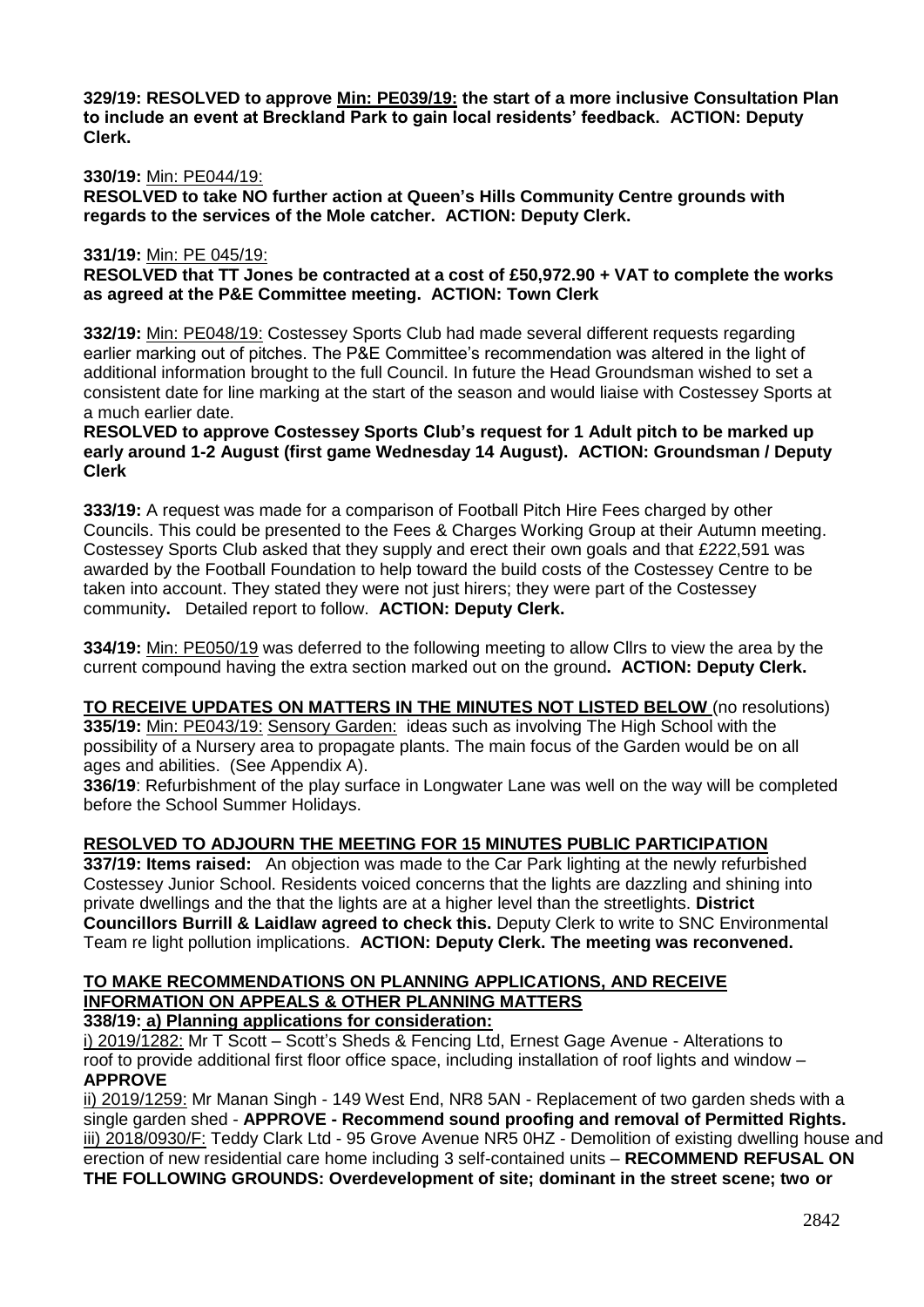**329/19: RESOLVED to approve Min: PE039/19: the start of a more inclusive Consultation Plan to include an event at Breckland Park to gain local residents' feedback. ACTION: Deputy Clerk.**

### **330/19:** Min: PE044/19:

**RESOLVED to take NO further action at Queen's Hills Community Centre grounds with regards to the services of the Mole catcher. ACTION: Deputy Clerk.**

### **331/19:** Min: PE 045/19:

**RESOLVED that TT Jones be contracted at a cost of £50,972.90 + VAT to complete the works as agreed at the P&E Committee meeting. ACTION: Town Clerk**

**332/19:** Min: PE048/19: Costessey Sports Club had made several different requests regarding earlier marking out of pitches. The P&E Committee's recommendation was altered in the light of additional information brought to the full Council. In future the Head Groundsman wished to set a consistent date for line marking at the start of the season and would liaise with Costessey Sports at a much earlier date.

### **RESOLVED to approve Costessey Sports Club's request for 1 Adult pitch to be marked up early around 1-2 August (first game Wednesday 14 August). ACTION: Groundsman / Deputy Clerk**

**333/19:** A request was made for a comparison of Football Pitch Hire Fees charged by other Councils. This could be presented to the Fees & Charges Working Group at their Autumn meeting. Costessey Sports Club asked that they supply and erect their own goals and that £222,591 was awarded by the Football Foundation to help toward the build costs of the Costessey Centre to be taken into account. They stated they were not just hirers; they were part of the Costessey community**.** Detailed report to follow. **ACTION: Deputy Clerk.**

**334/19:** Min: PE050/19 was deferred to the following meeting to allow Cllrs to view the area by the current compound having the extra section marked out on the ground**. ACTION: Deputy Clerk.**

**TO RECEIVE UPDATES ON MATTERS IN THE MINUTES NOT LISTED BELOW** (no resolutions) **335/19:** Min: PE043/19: Sensory Garden: ideas such as involving The High School with the possibility of a Nursery area to propagate plants. The main focus of the Garden would be on all ages and abilities. (See Appendix A).

**336/19**: Refurbishment of the play surface in Longwater Lane was well on the way will be completed before the School Summer Holidays.

# **RESOLVED TO ADJOURN THE MEETING FOR 15 MINUTES PUBLIC PARTICIPATION**

**337/19: Items raised:** An objection was made to the Car Park lighting at the newly refurbished Costessey Junior School. Residents voiced concerns that the lights are dazzling and shining into private dwellings and the that the lights are at a higher level than the streetlights. **District Councillors Burrill & Laidlaw agreed to check this.** Deputy Clerk to write to SNC Environmental Team re light pollution implications. **ACTION: Deputy Clerk. The meeting was reconvened.**

#### **TO MAKE RECOMMENDATIONS ON PLANNING APPLICATIONS, AND RECEIVE INFORMATION ON APPEALS & OTHER PLANNING MATTERS 338/19: a) Planning applications for consideration:**

i) 2019/1282: Mr T Scott – Scott's Sheds & Fencing Ltd, Ernest Gage Avenue - Alterations to roof to provide additional first floor office space, including installation of roof lights and window – **APPROVE**

ii) 2019/1259: Mr Manan Singh - 149 West End, NR8 5AN - Replacement of two garden sheds with a single garden shed - **APPROVE - Recommend sound proofing and removal of Permitted Rights.**  iii) 2018/0930/F: Teddy Clark Ltd - 95 Grove Avenue NR5 0HZ - Demolition of existing dwelling house and erection of new residential care home including 3 self-contained units – **RECOMMEND REFUSAL ON THE FOLLOWING GROUNDS: Overdevelopment of site; dominant in the street scene; two or**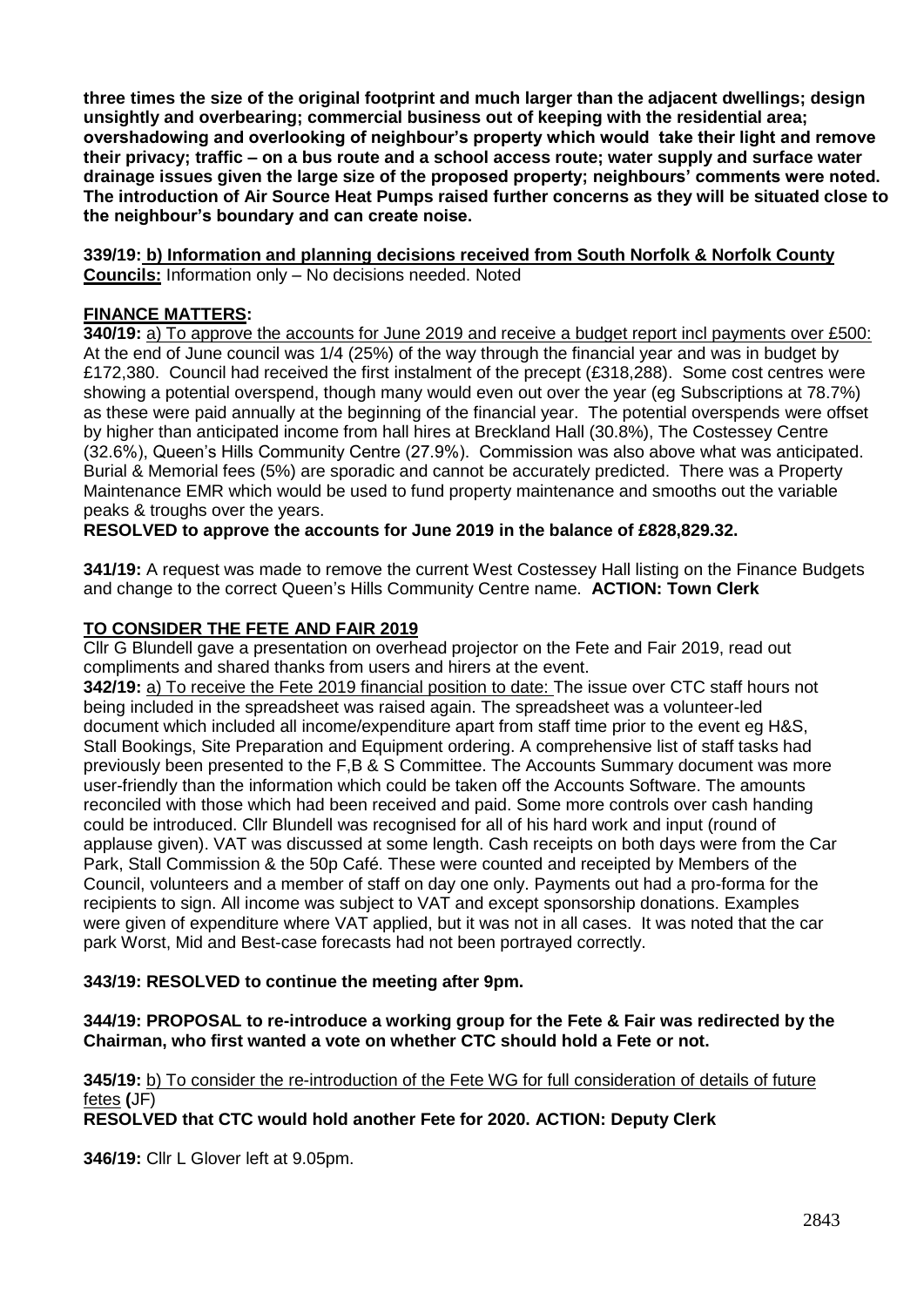**three times the size of the original footprint and much larger than the adjacent dwellings; design unsightly and overbearing; commercial business out of keeping with the residential area; overshadowing and overlooking of neighbour's property which would take their light and remove their privacy; traffic – on a bus route and a school access route; water supply and surface water drainage issues given the large size of the proposed property; neighbours' comments were noted. The introduction of Air Source Heat Pumps raised further concerns as they will be situated close to the neighbour's boundary and can create noise.** 

**339/19: b) Information and planning decisions received from South Norfolk & Norfolk County Councils:** Information only – No decisions needed. Noted

## **FINANCE MATTERS:**

**340/19:** a) To approve the accounts for June 2019 and receive a budget report incl payments over £500: At the end of June council was 1/4 (25%) of the way through the financial year and was in budget by £172,380. Council had received the first instalment of the precept (£318,288). Some cost centres were showing a potential overspend, though many would even out over the year (eg Subscriptions at 78.7%) as these were paid annually at the beginning of the financial year. The potential overspends were offset by higher than anticipated income from hall hires at Breckland Hall (30.8%), The Costessey Centre (32.6%), Queen's Hills Community Centre (27.9%). Commission was also above what was anticipated. Burial & Memorial fees (5%) are sporadic and cannot be accurately predicted. There was a Property Maintenance EMR which would be used to fund property maintenance and smooths out the variable peaks & troughs over the years.

**RESOLVED to approve the accounts for June 2019 in the balance of £828,829.32.**

**341/19:** A request was made to remove the current West Costessey Hall listing on the Finance Budgets and change to the correct Queen's Hills Community Centre name. **ACTION: Town Clerk** 

## **TO CONSIDER THE FETE AND FAIR 2019**

Cllr G Blundell gave a presentation on overhead projector on the Fete and Fair 2019, read out compliments and shared thanks from users and hirers at the event.

**342/19:** a) To receive the Fete 2019 financial position to date: The issue over CTC staff hours not being included in the spreadsheet was raised again. The spreadsheet was a volunteer-led document which included all income/expenditure apart from staff time prior to the event eg H&S, Stall Bookings, Site Preparation and Equipment ordering. A comprehensive list of staff tasks had previously been presented to the F,B & S Committee. The Accounts Summary document was more user-friendly than the information which could be taken off the Accounts Software. The amounts reconciled with those which had been received and paid. Some more controls over cash handing could be introduced. Cllr Blundell was recognised for all of his hard work and input (round of applause given). VAT was discussed at some length. Cash receipts on both days were from the Car Park, Stall Commission & the 50p Café. These were counted and receipted by Members of the Council, volunteers and a member of staff on day one only. Payments out had a pro-forma for the recipients to sign. All income was subject to VAT and except sponsorship donations. Examples were given of expenditure where VAT applied, but it was not in all cases. It was noted that the car park Worst, Mid and Best-case forecasts had not been portrayed correctly.

## **343/19: RESOLVED to continue the meeting after 9pm.**

### **344/19: PROPOSAL to re-introduce a working group for the Fete & Fair was redirected by the Chairman, who first wanted a vote on whether CTC should hold a Fete or not.**

## **345/19:** b) To consider the re-introduction of the Fete WG for full consideration of details of future fetes **(**JF)

**RESOLVED that CTC would hold another Fete for 2020. ACTION: Deputy Clerk**

**346/19:** Cllr L Glover left at 9.05pm.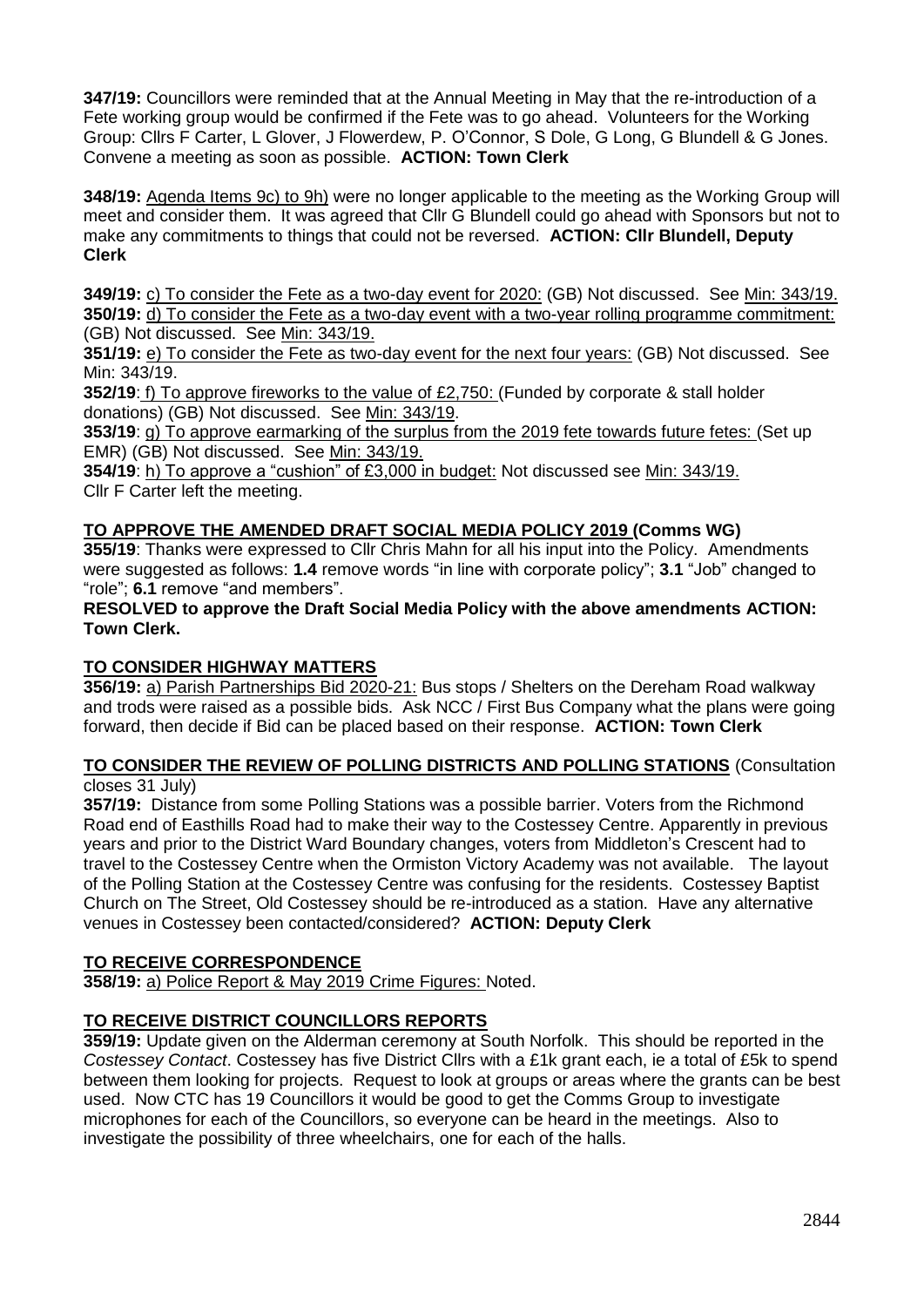**347/19:** Councillors were reminded that at the Annual Meeting in May that the re-introduction of a Fete working group would be confirmed if the Fete was to go ahead. Volunteers for the Working Group: Cllrs F Carter, L Glover, J Flowerdew, P. O'Connor, S Dole, G Long, G Blundell & G Jones. Convene a meeting as soon as possible. **ACTION: Town Clerk**

**348/19:** Agenda Items 9c) to 9h) were no longer applicable to the meeting as the Working Group will meet and consider them. It was agreed that Cllr G Blundell could go ahead with Sponsors but not to make any commitments to things that could not be reversed. **ACTION: Cllr Blundell, Deputy Clerk**

**349/19:** c) To consider the Fete as a two-day event for 2020: (GB) Not discussed. See Min: 343/19. **350/19:** d) To consider the Fete as a two-day event with a two-year rolling programme commitment: (GB) Not discussed. See Min: 343/19.

**351/19:** e) To consider the Fete as two-day event for the next four years: (GB) Not discussed. See Min: 343/19.

**352/19**: f) To approve fireworks to the value of £2,750: (Funded by corporate & stall holder donations) (GB) Not discussed. See Min: 343/19.

**353/19**: g) To approve earmarking of the surplus from the 2019 fete towards future fetes: (Set up EMR) (GB) Not discussed. See Min: 343/19.

**354/19**: h) To approve a "cushion" of £3,000 in budget: Not discussed see Min: 343/19. Cllr F Carter left the meeting.

# **TO APPROVE THE AMENDED DRAFT SOCIAL MEDIA POLICY 2019 (Comms WG)**

**355/19**: Thanks were expressed to Cllr Chris Mahn for all his input into the Policy. Amendments were suggested as follows: **1.4** remove words "in line with corporate policy"; **3.1** "Job" changed to "role"; **6.1** remove "and members".

**RESOLVED to approve the Draft Social Media Policy with the above amendments ACTION: Town Clerk.**

## **TO CONSIDER HIGHWAY MATTERS**

**356/19:** a) Parish Partnerships Bid 2020-21: Bus stops / Shelters on the Dereham Road walkway and trods were raised as a possible bids. Ask NCC / First Bus Company what the plans were going forward, then decide if Bid can be placed based on their response. **ACTION: Town Clerk**

## **TO CONSIDER THE REVIEW OF POLLING DISTRICTS AND POLLING STATIONS** (Consultation closes 31 July)

**357/19:** Distance from some Polling Stations was a possible barrier. Voters from the Richmond Road end of Easthills Road had to make their way to the Costessey Centre. Apparently in previous years and prior to the District Ward Boundary changes, voters from Middleton's Crescent had to travel to the Costessey Centre when the Ormiston Victory Academy was not available. The layout of the Polling Station at the Costessey Centre was confusing for the residents. Costessey Baptist Church on The Street, Old Costessey should be re-introduced as a station. Have any alternative venues in Costessey been contacted/considered? **ACTION: Deputy Clerk**

## **TO RECEIVE CORRESPONDENCE**

**358/19:** a) Police Report & May 2019 Crime Figures: Noted.

# **TO RECEIVE DISTRICT COUNCILLORS REPORTS**

**359/19:** Update given on the Alderman ceremony at South Norfolk. This should be reported in the *Costessey Contact*. Costessey has five District Cllrs with a £1k grant each, ie a total of £5k to spend between them looking for projects. Request to look at groups or areas where the grants can be best used. Now CTC has 19 Councillors it would be good to get the Comms Group to investigate microphones for each of the Councillors, so everyone can be heard in the meetings. Also to investigate the possibility of three wheelchairs, one for each of the halls.